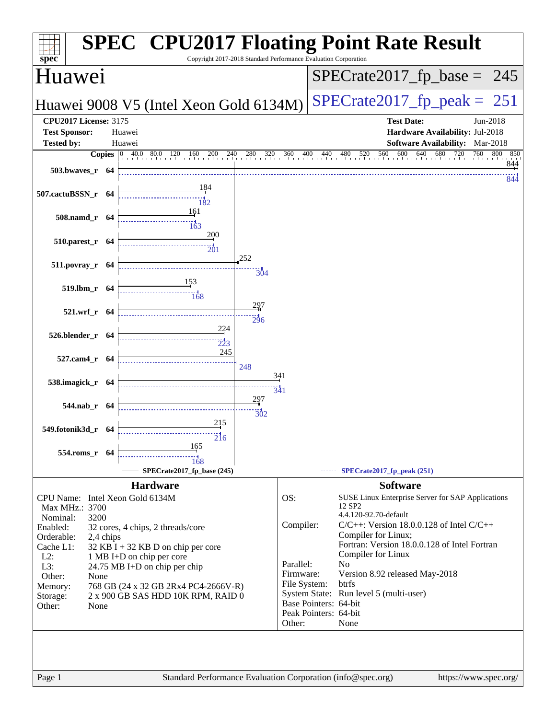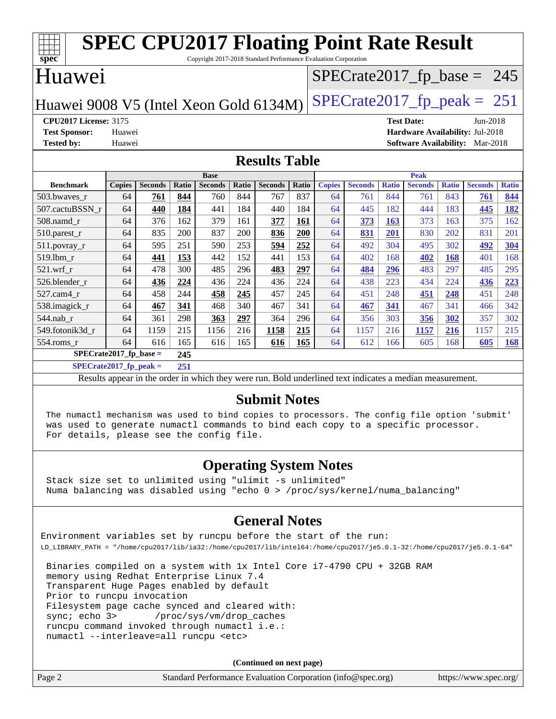| <b>SPEC CPU2017 Floating Point Rate Result</b>                          |                            |                |       |                |       |                |              |               |                |              |                   |              |                                        |              |
|-------------------------------------------------------------------------|----------------------------|----------------|-------|----------------|-------|----------------|--------------|---------------|----------------|--------------|-------------------|--------------|----------------------------------------|--------------|
| spec<br>Copyright 2017-2018 Standard Performance Evaluation Corporation |                            |                |       |                |       |                |              |               |                |              |                   |              |                                        |              |
| <b>Huawei</b><br>$SPECrate2017_fp\_base = 245$                          |                            |                |       |                |       |                |              |               |                |              |                   |              |                                        |              |
| $SPECTate2017$ _fp_peak = 251<br>Huawei 9008 V5 (Intel Xeon Gold 6134M) |                            |                |       |                |       |                |              |               |                |              |                   |              |                                        |              |
| <b>CPU2017 License: 3175</b>                                            |                            |                |       |                |       |                |              |               |                |              | <b>Test Date:</b> |              | Jun-2018                               |              |
| <b>Test Sponsor:</b>                                                    | Huawei                     |                |       |                |       |                |              |               |                |              |                   |              | Hardware Availability: Jul-2018        |              |
| <b>Tested by:</b>                                                       | Huawei                     |                |       |                |       |                |              |               |                |              |                   |              | <b>Software Availability:</b> Mar-2018 |              |
| <b>Results Table</b>                                                    |                            |                |       |                |       |                |              |               |                |              |                   |              |                                        |              |
|                                                                         | <b>Peak</b><br><b>Base</b> |                |       |                |       |                |              |               |                |              |                   |              |                                        |              |
| <b>Benchmark</b>                                                        | <b>Copies</b>              | <b>Seconds</b> | Ratio | <b>Seconds</b> | Ratio | <b>Seconds</b> | <b>Ratio</b> | <b>Copies</b> | <b>Seconds</b> | <b>Ratio</b> | <b>Seconds</b>    | <b>Ratio</b> | <b>Seconds</b>                         | <b>Ratio</b> |
| 503.bwaves_r                                                            | 64                         | 761            | 844   | 760            | 844   | 767            | 837          | 64            | 761            | 844          | 761               | 843          | 761                                    | 844          |
| 507.cactuBSSN r                                                         | 64                         | 440            | 184   | 441            | 184   | 440            | 184          | 64            | 445            | 182          | 444               | 183          | 445                                    | 182          |
| 508.namd_r                                                              | 64                         | 376            | 162   | 379            | 161   | 377            | 161          | 64            | 373            | 163          | 373               | 163          | 375                                    | 162          |
| 510.parest_r                                                            | 64                         | 835            | 200   | 837            | 200   | 836            | 200          | 64            | 831            | 201          | 830               | 202          | 831                                    | 201          |
| $511.povray_r$                                                          | 64                         | 595            | 251   | 590            | 253   | 594            | 252          | 64            | 492            | 304          | 495               | 302          | 492                                    | 304          |
| 519.1bm r                                                               | 64                         | 441            | 153   | 442            | 152   | 441            | 153          | 64            | 402            | 168          | 402               | 168          | 401                                    | 168          |
| $521$ .wrf r                                                            | 64                         | 478            | 300   | 485            | 296   | 483            | 297          | 64            | 484            | 296          | 483               | 297          | 485                                    | 295          |
| 526.blender r                                                           | 64                         | 436            | 224   | 436            | 224   | 436            | 224          | 64            | 438            | 223          | 434               | 224          | 436                                    | 223          |
| 527.cam4 r                                                              | 64                         | 458            | 244   | 458            | 245   | 457            | 245          | 64            | 451            | 248          | 451               | 248          | 451                                    | 248          |
| 538.imagick_r                                                           | 64                         | 467            | 341   | 468            | 340   | 467            | 341          | 64            | 467            | 341          | 467               | 341          | 466                                    | 342          |
| 544.nab r                                                               | 64                         | 361            | 298   | 363            | 297   | 364            | 296          | 64            | 356            | 303          | 356               | 302          | 357                                    | 302          |
| 549.fotonik3d r                                                         | 64                         | 1159           | 215   | 1156           | 216   | 1158           | 215          | 64            | 1157           | 216          | 1157              | 216          | 1157                                   | 215          |
| 554.roms r                                                              | 64                         | 616            | 165   | 616            | 165   | 616            | 165          | 64            | 612            | 166          | 605               | 168          | 605                                    | 168          |
| $SPECrate2017_fp\_base =$                                               |                            |                | 245   |                |       |                |              |               |                |              |                   |              |                                        |              |
| $SPECrate2017$ fp peak =<br>251                                         |                            |                |       |                |       |                |              |               |                |              |                   |              |                                        |              |

Results appear in the [order in which they were run](http://www.spec.org/auto/cpu2017/Docs/result-fields.html#RunOrder). Bold underlined text [indicates a median measurement](http://www.spec.org/auto/cpu2017/Docs/result-fields.html#Median).

### **[Submit Notes](http://www.spec.org/auto/cpu2017/Docs/result-fields.html#SubmitNotes)**

 The numactl mechanism was used to bind copies to processors. The config file option 'submit' was used to generate numactl commands to bind each copy to a specific processor. For details, please see the config file.

### **[Operating System Notes](http://www.spec.org/auto/cpu2017/Docs/result-fields.html#OperatingSystemNotes)**

 Stack size set to unlimited using "ulimit -s unlimited" Numa balancing was disabled using "echo 0 > /proc/sys/kernel/numa\_balancing"

### **[General Notes](http://www.spec.org/auto/cpu2017/Docs/result-fields.html#GeneralNotes)**

Environment variables set by runcpu before the start of the run: LD\_LIBRARY\_PATH = "/home/cpu2017/lib/ia32:/home/cpu2017/lib/intel64:/home/cpu2017/je5.0.1-32:/home/cpu2017/je5.0.1-64"

 Binaries compiled on a system with 1x Intel Core i7-4790 CPU + 32GB RAM memory using Redhat Enterprise Linux 7.4 Transparent Huge Pages enabled by default Prior to runcpu invocation Filesystem page cache synced and cleared with: sync; echo 3> /proc/sys/vm/drop\_caches runcpu command invoked through numactl i.e.: numactl --interleave=all runcpu <etc>

**(Continued on next page)**

| Page 2 | Standard Performance Evaluation Corporation (info@spec.org) | https://www.spec.org/ |
|--------|-------------------------------------------------------------|-----------------------|
|--------|-------------------------------------------------------------|-----------------------|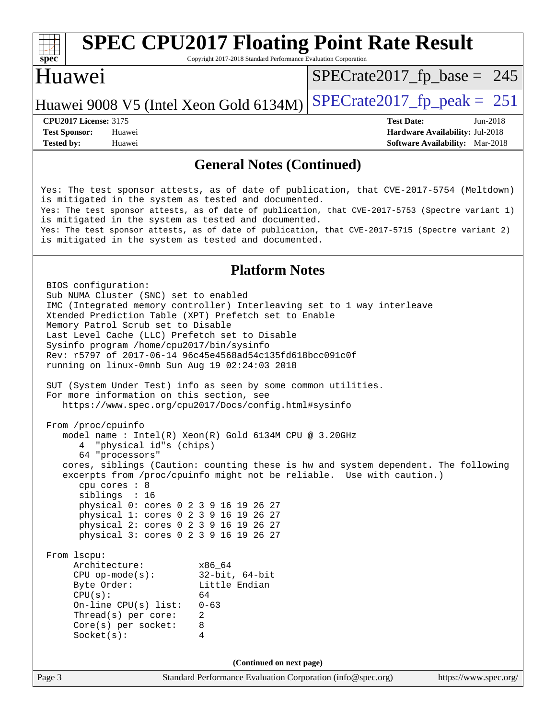#### **[spec](http://www.spec.org/) [SPEC CPU2017 Floating Point Rate Result](http://www.spec.org/auto/cpu2017/Docs/result-fields.html#SPECCPU2017FloatingPointRateResult)** Copyright 2017-2018 Standard Performance Evaluation Corporation Huawei Huawei 9008 V5 (Intel Xeon Gold 6134M)  $SPECrate2017_f$  peak = 251  $SPECTate2017_fp\_base = 245$ **[CPU2017 License:](http://www.spec.org/auto/cpu2017/Docs/result-fields.html#CPU2017License)** 3175 **[Test Date:](http://www.spec.org/auto/cpu2017/Docs/result-fields.html#TestDate)** Jun-2018 **[Test Sponsor:](http://www.spec.org/auto/cpu2017/Docs/result-fields.html#TestSponsor)** Huawei **[Hardware Availability:](http://www.spec.org/auto/cpu2017/Docs/result-fields.html#HardwareAvailability)** Jul-2018 **[Tested by:](http://www.spec.org/auto/cpu2017/Docs/result-fields.html#Testedby)** Huawei **[Software Availability:](http://www.spec.org/auto/cpu2017/Docs/result-fields.html#SoftwareAvailability)** Mar-2018

#### **[General Notes \(Continued\)](http://www.spec.org/auto/cpu2017/Docs/result-fields.html#GeneralNotes)**

Yes: The test sponsor attests, as of date of publication, that CVE-2017-5754 (Meltdown) is mitigated in the system as tested and documented. Yes: The test sponsor attests, as of date of publication, that CVE-2017-5753 (Spectre variant 1) is mitigated in the system as tested and documented. Yes: The test sponsor attests, as of date of publication, that CVE-2017-5715 (Spectre variant 2) is mitigated in the system as tested and documented.

#### **[Platform Notes](http://www.spec.org/auto/cpu2017/Docs/result-fields.html#PlatformNotes)**

Page 3 Standard Performance Evaluation Corporation [\(info@spec.org\)](mailto:info@spec.org) <https://www.spec.org/> BIOS configuration: Sub NUMA Cluster (SNC) set to enabled IMC (Integrated memory controller) Interleaving set to 1 way interleave Xtended Prediction Table (XPT) Prefetch set to Enable Memory Patrol Scrub set to Disable Last Level Cache (LLC) Prefetch set to Disable Sysinfo program /home/cpu2017/bin/sysinfo Rev: r5797 of 2017-06-14 96c45e4568ad54c135fd618bcc091c0f running on linux-0mnb Sun Aug 19 02:24:03 2018 SUT (System Under Test) info as seen by some common utilities. For more information on this section, see <https://www.spec.org/cpu2017/Docs/config.html#sysinfo> From /proc/cpuinfo model name : Intel(R) Xeon(R) Gold 6134M CPU @ 3.20GHz 4 "physical id"s (chips) 64 "processors" cores, siblings (Caution: counting these is hw and system dependent. The following excerpts from /proc/cpuinfo might not be reliable. Use with caution.) cpu cores : 8 siblings : 16 physical 0: cores 0 2 3 9 16 19 26 27 physical 1: cores 0 2 3 9 16 19 26 27 physical 2: cores 0 2 3 9 16 19 26 27 physical 3: cores 0 2 3 9 16 19 26 27 From lscpu: Architecture: x86\_64 CPU op-mode(s): 32-bit, 64-bit Little Endian  $CPU(s):$  64 On-line CPU(s) list: 0-63 Thread(s) per core: 2 Core(s) per socket: 8 Socket(s): 4 **(Continued on next page)**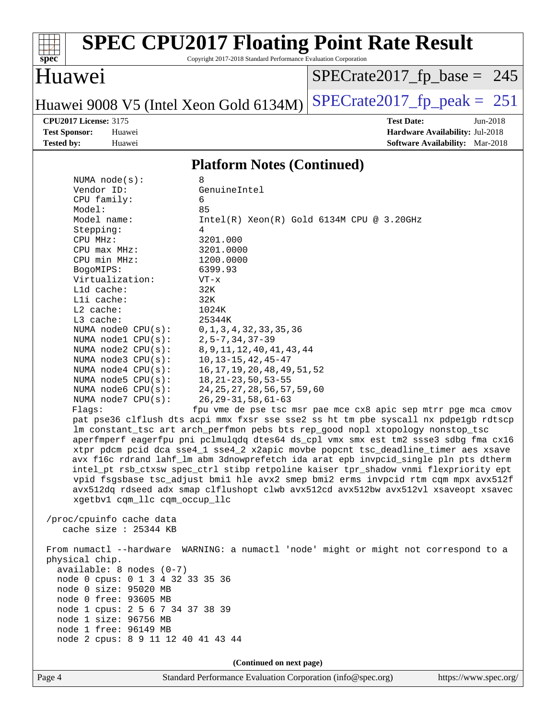

Copyright 2017-2018 Standard Performance Evaluation Corporation

### Huawei

[SPECrate2017\\_fp\\_base =](http://www.spec.org/auto/cpu2017/Docs/result-fields.html#SPECrate2017fpbase) 245

# Huawei 9008 V5 (Intel Xeon Gold 6134M) SPECrate  $2017$  fp peak = 251

**[Tested by:](http://www.spec.org/auto/cpu2017/Docs/result-fields.html#Testedby)** Huawei **[Software Availability:](http://www.spec.org/auto/cpu2017/Docs/result-fields.html#SoftwareAvailability)** Mar-2018

**[CPU2017 License:](http://www.spec.org/auto/cpu2017/Docs/result-fields.html#CPU2017License)** 3175 **[Test Date:](http://www.spec.org/auto/cpu2017/Docs/result-fields.html#TestDate)** Jun-2018 **[Test Sponsor:](http://www.spec.org/auto/cpu2017/Docs/result-fields.html#TestSponsor)** Huawei **[Hardware Availability:](http://www.spec.org/auto/cpu2017/Docs/result-fields.html#HardwareAvailability)** Jul-2018

#### **[Platform Notes \(Continued\)](http://www.spec.org/auto/cpu2017/Docs/result-fields.html#PlatformNotes)**

| NUMA $node(s):$                    | 8                                                                                    |
|------------------------------------|--------------------------------------------------------------------------------------|
| Vendor ID:                         | GenuineIntel                                                                         |
| CPU family:                        | 6                                                                                    |
| Model:                             | 85                                                                                   |
| Model name:                        | $Intel(R) Xeon(R) Gold 6134M CPU @ 3.20GHz$                                          |
| Stepping:                          | 4                                                                                    |
| CPU MHz:                           | 3201.000                                                                             |
| CPU max MHz:                       | 3201.0000                                                                            |
| CPU min MHz:                       | 1200.0000                                                                            |
| BogoMIPS:                          | 6399.93                                                                              |
| Virtualization:                    | VT-x                                                                                 |
| Lld cache:                         | 32K                                                                                  |
| Lli cache:                         | 32K                                                                                  |
| $L2$ cache:                        | 1024K                                                                                |
| L3 cache:                          | 25344K                                                                               |
| NUMA $node0$ $CPU(s)$ :            | 0, 1, 3, 4, 32, 33, 35, 36                                                           |
| NUMA nodel $CPU(s):$               | $2, 5 - 7, 34, 37 - 39$                                                              |
| NUMA $node2$ $CPU(s):$             | 8, 9, 11, 12, 40, 41, 43, 44                                                         |
| NUMA node3 CPU(s):                 | $10, 13 - 15, 42, 45 - 47$                                                           |
| NUMA $node4$ $CPU(s):$             | 16, 17, 19, 20, 48, 49, 51, 52                                                       |
| NUMA node5 CPU(s):                 | $18, 21 - 23, 50, 53 - 55$                                                           |
| NUMA node6 CPU(s):                 | 24, 25, 27, 28, 56, 57, 59, 60                                                       |
| NUMA node7 CPU(s):                 | $26, 29 - 31, 58, 61 - 63$                                                           |
| Flaqs:                             | fpu vme de pse tsc msr pae mce cx8 apic sep mtrr pge mca cmov                        |
|                                    | pat pse36 clflush dts acpi mmx fxsr sse sse2 ss ht tm pbe syscall nx pdpelgb rdtscp  |
|                                    | lm constant_tsc art arch_perfmon pebs bts rep_good nopl xtopology nonstop_tsc        |
|                                    | aperfmperf eagerfpu pni pclmulqdq dtes64 ds_cpl vmx smx est tm2 ssse3 sdbg fma cx16  |
|                                    | xtpr pdcm pcid dca sse4_1 sse4_2 x2apic movbe popcnt tsc_deadline_timer aes xsave    |
|                                    | avx f16c rdrand lahf_lm abm 3dnowprefetch ida arat epb invpcid_single pln pts dtherm |
|                                    | intel_pt rsb_ctxsw spec_ctrl stibp retpoline kaiser tpr_shadow vnmi flexpriority ept |
|                                    | vpid fsgsbase tsc_adjust bmil hle avx2 smep bmi2 erms invpcid rtm cqm mpx avx512f    |
|                                    | avx512dq rdseed adx smap clflushopt clwb avx512cd avx512bw avx512vl xsaveopt xsavec  |
| xgetbv1 cqm_llc cqm_occup_llc      |                                                                                      |
|                                    |                                                                                      |
| /proc/cpuinfo cache data           |                                                                                      |
| cache size $: 25344$ KB            |                                                                                      |
|                                    |                                                                                      |
|                                    | From numactl --hardware WARNING: a numactl 'node' might or might not correspond to a |
| physical chip.                     |                                                                                      |
| $available: 8 nodes (0-7)$         |                                                                                      |
| node 0 cpus: 0 1 3 4 32 33 35 36   |                                                                                      |
| node 0 size: 95020 MB              |                                                                                      |
| node 0 free: 93605 MB              |                                                                                      |
| node 1 cpus: 2 5 6 7 34 37 38 39   |                                                                                      |
| node 1 size: 96756 MB              |                                                                                      |
| node 1 free: 96149 MB              |                                                                                      |
| node 2 cpus: 8 9 11 12 40 41 43 44 |                                                                                      |
|                                    |                                                                                      |
|                                    | (Continued on next page)                                                             |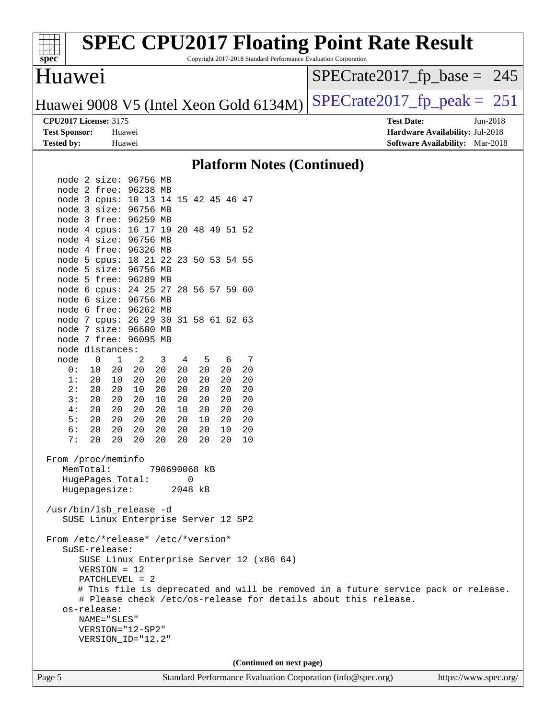

**(Continued on next page)**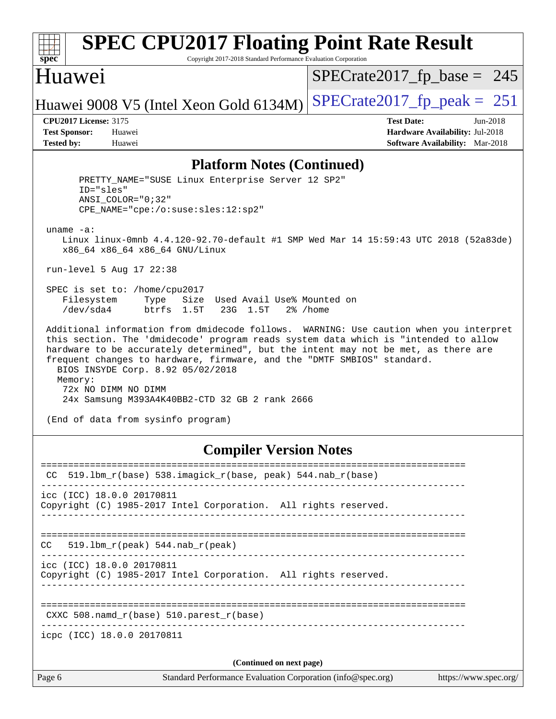| s<br>D<br>æ<br>Ľ |  |  |  |  |  |  |
|------------------|--|--|--|--|--|--|

Copyright 2017-2018 Standard Performance Evaluation Corporation

### Huawei

[SPECrate2017\\_fp\\_base =](http://www.spec.org/auto/cpu2017/Docs/result-fields.html#SPECrate2017fpbase) 245

Huawei 9008 V5 (Intel Xeon Gold 6134M)  $SPECrate2017_f$  peak = 251

**[CPU2017 License:](http://www.spec.org/auto/cpu2017/Docs/result-fields.html#CPU2017License)** 3175 **[Test Date:](http://www.spec.org/auto/cpu2017/Docs/result-fields.html#TestDate)** Jun-2018 **[Test Sponsor:](http://www.spec.org/auto/cpu2017/Docs/result-fields.html#TestSponsor)** Huawei **[Hardware Availability:](http://www.spec.org/auto/cpu2017/Docs/result-fields.html#HardwareAvailability)** Jul-2018 **[Tested by:](http://www.spec.org/auto/cpu2017/Docs/result-fields.html#Testedby)** Huawei **[Software Availability:](http://www.spec.org/auto/cpu2017/Docs/result-fields.html#SoftwareAvailability)** Mar-2018

#### **[Platform Notes \(Continued\)](http://www.spec.org/auto/cpu2017/Docs/result-fields.html#PlatformNotes)**

 PRETTY\_NAME="SUSE Linux Enterprise Server 12 SP2" ID="sles" ANSI\_COLOR="0;32" CPE\_NAME="cpe:/o:suse:sles:12:sp2" uname -a: Linux linux-0mnb 4.4.120-92.70-default #1 SMP Wed Mar 14 15:59:43 UTC 2018 (52a83de) x86\_64 x86\_64 x86\_64 GNU/Linux run-level 5 Aug 17 22:38 SPEC is set to: /home/cpu2017 Filesystem Type Size Used Avail Use% Mounted on /dev/sda4 btrfs 1.5T 23G 1.5T 2% /home Additional information from dmidecode follows. WARNING: Use caution when you interpret this section. The 'dmidecode' program reads system data which is "intended to allow hardware to be accurately determined", but the intent may not be met, as there are frequent changes to hardware, firmware, and the "DMTF SMBIOS" standard. BIOS INSYDE Corp. 8.92 05/02/2018 Memory: 72x NO DIMM NO DIMM 24x Samsung M393A4K40BB2-CTD 32 GB 2 rank 2666 (End of data from sysinfo program)

#### **[Compiler Version Notes](http://www.spec.org/auto/cpu2017/Docs/result-fields.html#CompilerVersionNotes)**

| Page 6 | Standard Performance Evaluation Corporation (info@spec.org)<br>https://www.spec.org/         |
|--------|----------------------------------------------------------------------------------------------|
|        | (Continued on next page)                                                                     |
|        | icpc (ICC) 18.0.0 20170811                                                                   |
|        | CXXC 508. namd $r(base)$ 510. parest $r(base)$                                               |
|        | icc (ICC) 18.0.0 20170811<br>Copyright (C) 1985-2017 Intel Corporation. All rights reserved. |
| CC     | 519.1bm $r(\text{peak})$ 544.nab $r(\text{peak})$                                            |
|        | icc (ICC) 18.0.0 20170811<br>Copyright (C) 1985-2017 Intel Corporation. All rights reserved. |
| CC.    | 519.1bm_r(base) 538.imagick_r(base, peak) 544.nab_r(base)                                    |
|        |                                                                                              |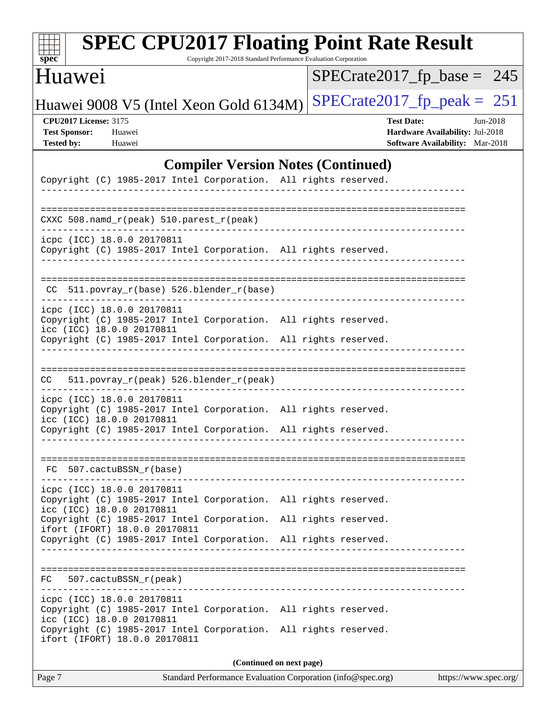| spe<br>Ľ |  |  |  |  |  |
|----------|--|--|--|--|--|

Copyright 2017-2018 Standard Performance Evaluation Corporation

## Huawei

[SPECrate2017\\_fp\\_base =](http://www.spec.org/auto/cpu2017/Docs/result-fields.html#SPECrate2017fpbase) 245

Huawei 9008 V5 (Intel Xeon Gold 6134M) SPECrate  $2017$  fp peak = 251

**[CPU2017 License:](http://www.spec.org/auto/cpu2017/Docs/result-fields.html#CPU2017License)** 3175 **[Test Date:](http://www.spec.org/auto/cpu2017/Docs/result-fields.html#TestDate)** Jun-2018 **[Test Sponsor:](http://www.spec.org/auto/cpu2017/Docs/result-fields.html#TestSponsor)** Huawei **[Hardware Availability:](http://www.spec.org/auto/cpu2017/Docs/result-fields.html#HardwareAvailability)** Jul-2018 **[Tested by:](http://www.spec.org/auto/cpu2017/Docs/result-fields.html#Testedby)** Huawei **[Software Availability:](http://www.spec.org/auto/cpu2017/Docs/result-fields.html#SoftwareAvailability)** Mar-2018

#### **[Compiler Version Notes \(Continued\)](http://www.spec.org/auto/cpu2017/Docs/result-fields.html#CompilerVersionNotes)**

| Copyright (C) 1985-2017 Intel Corporation. All rights reserved.                                                            |                          |  |
|----------------------------------------------------------------------------------------------------------------------------|--------------------------|--|
| CXXC 508.namd_r(peak) 510.parest_r(peak)                                                                                   |                          |  |
| icpc (ICC) 18.0.0 20170811<br>Copyright (C) 1985-2017 Intel Corporation. All rights reserved.                              |                          |  |
| CC 511.povray_r(base) 526.blender_r(base)                                                                                  |                          |  |
| icpc (ICC) 18.0.0 20170811<br>Copyright (C) 1985-2017 Intel Corporation. All rights reserved.<br>icc (ICC) 18.0.0 20170811 |                          |  |
| Copyright (C) 1985-2017 Intel Corporation. All rights reserved.                                                            |                          |  |
| 511.povray_r(peak) 526.blender_r(peak)<br>CC                                                                               |                          |  |
| icpc (ICC) 18.0.0 20170811<br>Copyright (C) 1985-2017 Intel Corporation. All rights reserved.<br>icc (ICC) 18.0.0 20170811 |                          |  |
| Copyright (C) 1985-2017 Intel Corporation. All rights reserved.                                                            |                          |  |
| FC 507.cactuBSSN r(base)                                                                                                   |                          |  |
| icpc (ICC) 18.0.0 20170811<br>Copyright (C) 1985-2017 Intel Corporation. All rights reserved.<br>icc (ICC) 18.0.0 20170811 |                          |  |
| Copyright (C) 1985-2017 Intel Corporation. All rights reserved.<br>ifort (IFORT) 18.0.0 20170811                           |                          |  |
| Copyright (C) 1985-2017 Intel Corporation. All rights reserved.                                                            |                          |  |
| FC<br>507.cactuBSSN_r(peak)                                                                                                |                          |  |
| icpc (ICC) 18.0.0 20170811<br>Copyright (C) 1985-2017 Intel Corporation. All rights reserved.<br>icc (ICC) 18.0.0 20170811 |                          |  |
| Copyright (C) 1985-2017 Intel Corporation. All rights reserved.<br>ifort (IFORT) 18.0.0 20170811                           |                          |  |
|                                                                                                                            | (Continued on next page) |  |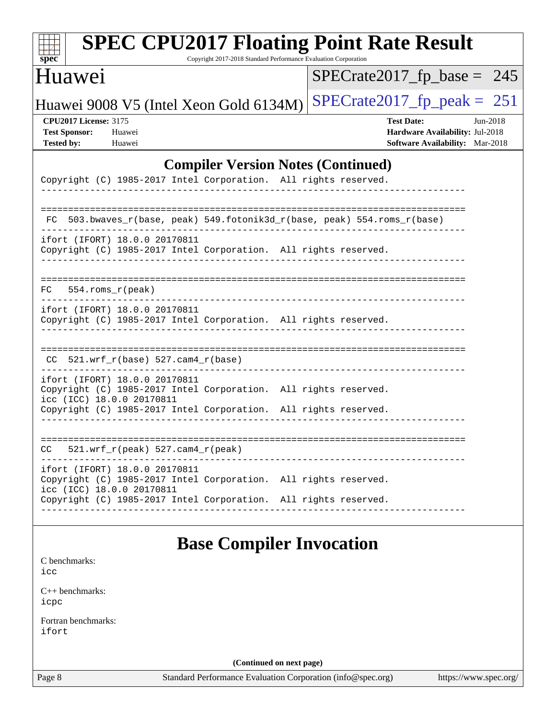| Huawei                                                                                                                                                                                           |                                    | $SPECrate2017_fp\_base = 245$                                                                                |
|--------------------------------------------------------------------------------------------------------------------------------------------------------------------------------------------------|------------------------------------|--------------------------------------------------------------------------------------------------------------|
| Huawei 9008 V5 (Intel Xeon Gold 6134M)                                                                                                                                                           |                                    | $SPECrate2017_fp\_peak = 251$                                                                                |
| <b>CPU2017 License: 3175</b><br><b>Test Sponsor:</b><br>Huawei<br><b>Tested by:</b><br>Huawei                                                                                                    |                                    | <b>Test Date:</b><br>$Jun-2018$<br>Hardware Availability: Jul-2018<br><b>Software Availability:</b> Mar-2018 |
| <b>Compiler Version Notes (Continued)</b>                                                                                                                                                        |                                    |                                                                                                              |
| Copyright (C) 1985-2017 Intel Corporation. All rights reserved.                                                                                                                                  |                                    |                                                                                                              |
| 503.bwaves_r(base, peak) 549.fotonik3d_r(base, peak) 554.roms_r(base)<br>FC.                                                                                                                     |                                    |                                                                                                              |
| ifort (IFORT) 18.0.0 20170811<br>Copyright (C) 1985-2017 Intel Corporation. All rights reserved.                                                                                                 |                                    |                                                                                                              |
| 554.roms r(peak)<br>FC.                                                                                                                                                                          | ---------------------------------- |                                                                                                              |
| ifort (IFORT) 18.0.0 20170811<br>Copyright (C) 1985-2017 Intel Corporation. All rights reserved.                                                                                                 |                                    |                                                                                                              |
| CC.                                                                                                                                                                                              |                                    |                                                                                                              |
| ifort (IFORT) 18.0.0 20170811<br>Copyright (C) 1985-2017 Intel Corporation. All rights reserved.<br>icc (ICC) 18.0.0 20170811<br>Copyright (C) 1985-2017 Intel Corporation. All rights reserved. |                                    |                                                                                                              |
| $521.wrf_r(peak) 527.cam4_r(peak)$<br>CC                                                                                                                                                         |                                    |                                                                                                              |
| ifort (IFORT) 18.0.0 20170811<br>Copyright (C) 1985-2017 Intel Corporation. All rights reserved.<br>icc (ICC) 18.0.0 20170811                                                                    |                                    |                                                                                                              |

## **[Base Compiler Invocation](http://www.spec.org/auto/cpu2017/Docs/result-fields.html#BaseCompilerInvocation)**

| C benchmarks: |  |
|---------------|--|
|---------------|--|

[icc](http://www.spec.org/cpu2017/results/res2018q4/cpu2017-20181017-09256.flags.html#user_CCbase_intel_icc_18.0_66fc1ee009f7361af1fbd72ca7dcefbb700085f36577c54f309893dd4ec40d12360134090235512931783d35fd58c0460139e722d5067c5574d8eaf2b3e37e92)

[C++ benchmarks:](http://www.spec.org/auto/cpu2017/Docs/result-fields.html#CXXbenchmarks) [icpc](http://www.spec.org/cpu2017/results/res2018q4/cpu2017-20181017-09256.flags.html#user_CXXbase_intel_icpc_18.0_c510b6838c7f56d33e37e94d029a35b4a7bccf4766a728ee175e80a419847e808290a9b78be685c44ab727ea267ec2f070ec5dc83b407c0218cded6866a35d07)

[Fortran benchmarks](http://www.spec.org/auto/cpu2017/Docs/result-fields.html#Fortranbenchmarks): [ifort](http://www.spec.org/cpu2017/results/res2018q4/cpu2017-20181017-09256.flags.html#user_FCbase_intel_ifort_18.0_8111460550e3ca792625aed983ce982f94888b8b503583aa7ba2b8303487b4d8a21a13e7191a45c5fd58ff318f48f9492884d4413fa793fd88dd292cad7027ca)

**(Continued on next page)**

Page 8 Standard Performance Evaluation Corporation [\(info@spec.org\)](mailto:info@spec.org) <https://www.spec.org/>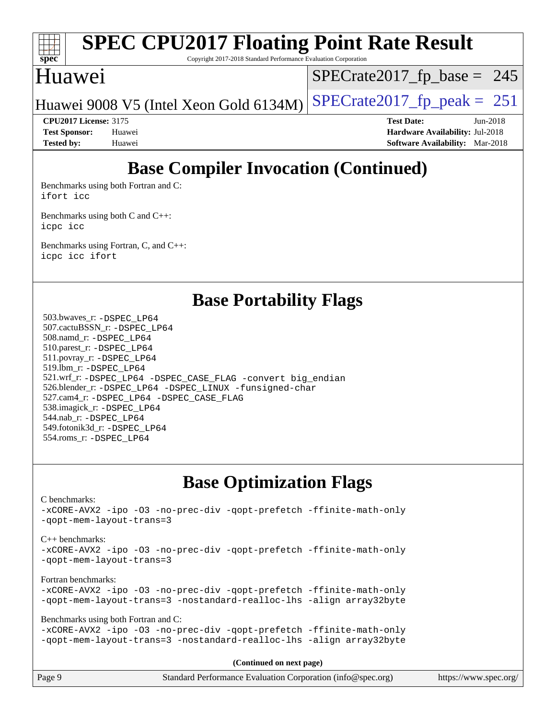

Copyright 2017-2018 Standard Performance Evaluation Corporation

### Huawei

 $SPECTate2017_fp\_base = 245$ 

Huawei 9008 V5 (Intel Xeon Gold 6134M)  $SPECrate2017_f$  peak = 251

**[CPU2017 License:](http://www.spec.org/auto/cpu2017/Docs/result-fields.html#CPU2017License)** 3175 **[Test Date:](http://www.spec.org/auto/cpu2017/Docs/result-fields.html#TestDate)** Jun-2018 **[Test Sponsor:](http://www.spec.org/auto/cpu2017/Docs/result-fields.html#TestSponsor)** Huawei **[Hardware Availability:](http://www.spec.org/auto/cpu2017/Docs/result-fields.html#HardwareAvailability)** Jul-2018 **[Tested by:](http://www.spec.org/auto/cpu2017/Docs/result-fields.html#Testedby)** Huawei **[Software Availability:](http://www.spec.org/auto/cpu2017/Docs/result-fields.html#SoftwareAvailability)** Mar-2018

## **[Base Compiler Invocation \(Continued\)](http://www.spec.org/auto/cpu2017/Docs/result-fields.html#BaseCompilerInvocation)**

[Benchmarks using both Fortran and C](http://www.spec.org/auto/cpu2017/Docs/result-fields.html#BenchmarksusingbothFortranandC): [ifort](http://www.spec.org/cpu2017/results/res2018q4/cpu2017-20181017-09256.flags.html#user_CC_FCbase_intel_ifort_18.0_8111460550e3ca792625aed983ce982f94888b8b503583aa7ba2b8303487b4d8a21a13e7191a45c5fd58ff318f48f9492884d4413fa793fd88dd292cad7027ca) [icc](http://www.spec.org/cpu2017/results/res2018q4/cpu2017-20181017-09256.flags.html#user_CC_FCbase_intel_icc_18.0_66fc1ee009f7361af1fbd72ca7dcefbb700085f36577c54f309893dd4ec40d12360134090235512931783d35fd58c0460139e722d5067c5574d8eaf2b3e37e92)

[Benchmarks using both C and C++](http://www.spec.org/auto/cpu2017/Docs/result-fields.html#BenchmarksusingbothCandCXX): [icpc](http://www.spec.org/cpu2017/results/res2018q4/cpu2017-20181017-09256.flags.html#user_CC_CXXbase_intel_icpc_18.0_c510b6838c7f56d33e37e94d029a35b4a7bccf4766a728ee175e80a419847e808290a9b78be685c44ab727ea267ec2f070ec5dc83b407c0218cded6866a35d07) [icc](http://www.spec.org/cpu2017/results/res2018q4/cpu2017-20181017-09256.flags.html#user_CC_CXXbase_intel_icc_18.0_66fc1ee009f7361af1fbd72ca7dcefbb700085f36577c54f309893dd4ec40d12360134090235512931783d35fd58c0460139e722d5067c5574d8eaf2b3e37e92)

[Benchmarks using Fortran, C, and C++:](http://www.spec.org/auto/cpu2017/Docs/result-fields.html#BenchmarksusingFortranCandCXX) [icpc](http://www.spec.org/cpu2017/results/res2018q4/cpu2017-20181017-09256.flags.html#user_CC_CXX_FCbase_intel_icpc_18.0_c510b6838c7f56d33e37e94d029a35b4a7bccf4766a728ee175e80a419847e808290a9b78be685c44ab727ea267ec2f070ec5dc83b407c0218cded6866a35d07) [icc](http://www.spec.org/cpu2017/results/res2018q4/cpu2017-20181017-09256.flags.html#user_CC_CXX_FCbase_intel_icc_18.0_66fc1ee009f7361af1fbd72ca7dcefbb700085f36577c54f309893dd4ec40d12360134090235512931783d35fd58c0460139e722d5067c5574d8eaf2b3e37e92) [ifort](http://www.spec.org/cpu2017/results/res2018q4/cpu2017-20181017-09256.flags.html#user_CC_CXX_FCbase_intel_ifort_18.0_8111460550e3ca792625aed983ce982f94888b8b503583aa7ba2b8303487b4d8a21a13e7191a45c5fd58ff318f48f9492884d4413fa793fd88dd292cad7027ca)

|  | <b>Base Portability Flags</b> |  |
|--|-------------------------------|--|
|--|-------------------------------|--|

 503.bwaves\_r: [-DSPEC\\_LP64](http://www.spec.org/cpu2017/results/res2018q4/cpu2017-20181017-09256.flags.html#suite_basePORTABILITY503_bwaves_r_DSPEC_LP64) 507.cactuBSSN\_r: [-DSPEC\\_LP64](http://www.spec.org/cpu2017/results/res2018q4/cpu2017-20181017-09256.flags.html#suite_basePORTABILITY507_cactuBSSN_r_DSPEC_LP64) 508.namd\_r: [-DSPEC\\_LP64](http://www.spec.org/cpu2017/results/res2018q4/cpu2017-20181017-09256.flags.html#suite_basePORTABILITY508_namd_r_DSPEC_LP64) 510.parest\_r: [-DSPEC\\_LP64](http://www.spec.org/cpu2017/results/res2018q4/cpu2017-20181017-09256.flags.html#suite_basePORTABILITY510_parest_r_DSPEC_LP64) 511.povray\_r: [-DSPEC\\_LP64](http://www.spec.org/cpu2017/results/res2018q4/cpu2017-20181017-09256.flags.html#suite_basePORTABILITY511_povray_r_DSPEC_LP64) 519.lbm\_r: [-DSPEC\\_LP64](http://www.spec.org/cpu2017/results/res2018q4/cpu2017-20181017-09256.flags.html#suite_basePORTABILITY519_lbm_r_DSPEC_LP64) 521.wrf\_r: [-DSPEC\\_LP64](http://www.spec.org/cpu2017/results/res2018q4/cpu2017-20181017-09256.flags.html#suite_basePORTABILITY521_wrf_r_DSPEC_LP64) [-DSPEC\\_CASE\\_FLAG](http://www.spec.org/cpu2017/results/res2018q4/cpu2017-20181017-09256.flags.html#b521.wrf_r_baseCPORTABILITY_DSPEC_CASE_FLAG) [-convert big\\_endian](http://www.spec.org/cpu2017/results/res2018q4/cpu2017-20181017-09256.flags.html#user_baseFPORTABILITY521_wrf_r_convert_big_endian_c3194028bc08c63ac5d04de18c48ce6d347e4e562e8892b8bdbdc0214820426deb8554edfa529a3fb25a586e65a3d812c835984020483e7e73212c4d31a38223) 526.blender\_r: [-DSPEC\\_LP64](http://www.spec.org/cpu2017/results/res2018q4/cpu2017-20181017-09256.flags.html#suite_basePORTABILITY526_blender_r_DSPEC_LP64) [-DSPEC\\_LINUX](http://www.spec.org/cpu2017/results/res2018q4/cpu2017-20181017-09256.flags.html#b526.blender_r_baseCPORTABILITY_DSPEC_LINUX) [-funsigned-char](http://www.spec.org/cpu2017/results/res2018q4/cpu2017-20181017-09256.flags.html#user_baseCPORTABILITY526_blender_r_force_uchar_40c60f00ab013830e2dd6774aeded3ff59883ba5a1fc5fc14077f794d777847726e2a5858cbc7672e36e1b067e7e5c1d9a74f7176df07886a243d7cc18edfe67) 527.cam4\_r: [-DSPEC\\_LP64](http://www.spec.org/cpu2017/results/res2018q4/cpu2017-20181017-09256.flags.html#suite_basePORTABILITY527_cam4_r_DSPEC_LP64) [-DSPEC\\_CASE\\_FLAG](http://www.spec.org/cpu2017/results/res2018q4/cpu2017-20181017-09256.flags.html#b527.cam4_r_baseCPORTABILITY_DSPEC_CASE_FLAG) 538.imagick\_r: [-DSPEC\\_LP64](http://www.spec.org/cpu2017/results/res2018q4/cpu2017-20181017-09256.flags.html#suite_basePORTABILITY538_imagick_r_DSPEC_LP64) 544.nab\_r: [-DSPEC\\_LP64](http://www.spec.org/cpu2017/results/res2018q4/cpu2017-20181017-09256.flags.html#suite_basePORTABILITY544_nab_r_DSPEC_LP64) 549.fotonik3d\_r: [-DSPEC\\_LP64](http://www.spec.org/cpu2017/results/res2018q4/cpu2017-20181017-09256.flags.html#suite_basePORTABILITY549_fotonik3d_r_DSPEC_LP64) 554.roms\_r: [-DSPEC\\_LP64](http://www.spec.org/cpu2017/results/res2018q4/cpu2017-20181017-09256.flags.html#suite_basePORTABILITY554_roms_r_DSPEC_LP64)

## **[Base Optimization Flags](http://www.spec.org/auto/cpu2017/Docs/result-fields.html#BaseOptimizationFlags)**

[C benchmarks](http://www.spec.org/auto/cpu2017/Docs/result-fields.html#Cbenchmarks): [-xCORE-AVX2](http://www.spec.org/cpu2017/results/res2018q4/cpu2017-20181017-09256.flags.html#user_CCbase_f-xCORE-AVX2) [-ipo](http://www.spec.org/cpu2017/results/res2018q4/cpu2017-20181017-09256.flags.html#user_CCbase_f-ipo) [-O3](http://www.spec.org/cpu2017/results/res2018q4/cpu2017-20181017-09256.flags.html#user_CCbase_f-O3) [-no-prec-div](http://www.spec.org/cpu2017/results/res2018q4/cpu2017-20181017-09256.flags.html#user_CCbase_f-no-prec-div) [-qopt-prefetch](http://www.spec.org/cpu2017/results/res2018q4/cpu2017-20181017-09256.flags.html#user_CCbase_f-qopt-prefetch) [-ffinite-math-only](http://www.spec.org/cpu2017/results/res2018q4/cpu2017-20181017-09256.flags.html#user_CCbase_f_finite_math_only_cb91587bd2077682c4b38af759c288ed7c732db004271a9512da14a4f8007909a5f1427ecbf1a0fb78ff2a814402c6114ac565ca162485bbcae155b5e4258871) [-qopt-mem-layout-trans=3](http://www.spec.org/cpu2017/results/res2018q4/cpu2017-20181017-09256.flags.html#user_CCbase_f-qopt-mem-layout-trans_de80db37974c74b1f0e20d883f0b675c88c3b01e9d123adea9b28688d64333345fb62bc4a798493513fdb68f60282f9a726aa07f478b2f7113531aecce732043) [C++ benchmarks:](http://www.spec.org/auto/cpu2017/Docs/result-fields.html#CXXbenchmarks) [-xCORE-AVX2](http://www.spec.org/cpu2017/results/res2018q4/cpu2017-20181017-09256.flags.html#user_CXXbase_f-xCORE-AVX2) [-ipo](http://www.spec.org/cpu2017/results/res2018q4/cpu2017-20181017-09256.flags.html#user_CXXbase_f-ipo) [-O3](http://www.spec.org/cpu2017/results/res2018q4/cpu2017-20181017-09256.flags.html#user_CXXbase_f-O3) [-no-prec-div](http://www.spec.org/cpu2017/results/res2018q4/cpu2017-20181017-09256.flags.html#user_CXXbase_f-no-prec-div) [-qopt-prefetch](http://www.spec.org/cpu2017/results/res2018q4/cpu2017-20181017-09256.flags.html#user_CXXbase_f-qopt-prefetch) [-ffinite-math-only](http://www.spec.org/cpu2017/results/res2018q4/cpu2017-20181017-09256.flags.html#user_CXXbase_f_finite_math_only_cb91587bd2077682c4b38af759c288ed7c732db004271a9512da14a4f8007909a5f1427ecbf1a0fb78ff2a814402c6114ac565ca162485bbcae155b5e4258871) [-qopt-mem-layout-trans=3](http://www.spec.org/cpu2017/results/res2018q4/cpu2017-20181017-09256.flags.html#user_CXXbase_f-qopt-mem-layout-trans_de80db37974c74b1f0e20d883f0b675c88c3b01e9d123adea9b28688d64333345fb62bc4a798493513fdb68f60282f9a726aa07f478b2f7113531aecce732043) [Fortran benchmarks](http://www.spec.org/auto/cpu2017/Docs/result-fields.html#Fortranbenchmarks): [-xCORE-AVX2](http://www.spec.org/cpu2017/results/res2018q4/cpu2017-20181017-09256.flags.html#user_FCbase_f-xCORE-AVX2) [-ipo](http://www.spec.org/cpu2017/results/res2018q4/cpu2017-20181017-09256.flags.html#user_FCbase_f-ipo) [-O3](http://www.spec.org/cpu2017/results/res2018q4/cpu2017-20181017-09256.flags.html#user_FCbase_f-O3) [-no-prec-div](http://www.spec.org/cpu2017/results/res2018q4/cpu2017-20181017-09256.flags.html#user_FCbase_f-no-prec-div) [-qopt-prefetch](http://www.spec.org/cpu2017/results/res2018q4/cpu2017-20181017-09256.flags.html#user_FCbase_f-qopt-prefetch) [-ffinite-math-only](http://www.spec.org/cpu2017/results/res2018q4/cpu2017-20181017-09256.flags.html#user_FCbase_f_finite_math_only_cb91587bd2077682c4b38af759c288ed7c732db004271a9512da14a4f8007909a5f1427ecbf1a0fb78ff2a814402c6114ac565ca162485bbcae155b5e4258871) [-qopt-mem-layout-trans=3](http://www.spec.org/cpu2017/results/res2018q4/cpu2017-20181017-09256.flags.html#user_FCbase_f-qopt-mem-layout-trans_de80db37974c74b1f0e20d883f0b675c88c3b01e9d123adea9b28688d64333345fb62bc4a798493513fdb68f60282f9a726aa07f478b2f7113531aecce732043) [-nostandard-realloc-lhs](http://www.spec.org/cpu2017/results/res2018q4/cpu2017-20181017-09256.flags.html#user_FCbase_f_2003_std_realloc_82b4557e90729c0f113870c07e44d33d6f5a304b4f63d4c15d2d0f1fab99f5daaed73bdb9275d9ae411527f28b936061aa8b9c8f2d63842963b95c9dd6426b8a) [-align array32byte](http://www.spec.org/cpu2017/results/res2018q4/cpu2017-20181017-09256.flags.html#user_FCbase_align_array32byte_b982fe038af199962ba9a80c053b8342c548c85b40b8e86eb3cc33dee0d7986a4af373ac2d51c3f7cf710a18d62fdce2948f201cd044323541f22fc0fffc51b6) [Benchmarks using both Fortran and C](http://www.spec.org/auto/cpu2017/Docs/result-fields.html#BenchmarksusingbothFortranandC): [-xCORE-AVX2](http://www.spec.org/cpu2017/results/res2018q4/cpu2017-20181017-09256.flags.html#user_CC_FCbase_f-xCORE-AVX2) [-ipo](http://www.spec.org/cpu2017/results/res2018q4/cpu2017-20181017-09256.flags.html#user_CC_FCbase_f-ipo) [-O3](http://www.spec.org/cpu2017/results/res2018q4/cpu2017-20181017-09256.flags.html#user_CC_FCbase_f-O3) [-no-prec-div](http://www.spec.org/cpu2017/results/res2018q4/cpu2017-20181017-09256.flags.html#user_CC_FCbase_f-no-prec-div) [-qopt-prefetch](http://www.spec.org/cpu2017/results/res2018q4/cpu2017-20181017-09256.flags.html#user_CC_FCbase_f-qopt-prefetch) [-ffinite-math-only](http://www.spec.org/cpu2017/results/res2018q4/cpu2017-20181017-09256.flags.html#user_CC_FCbase_f_finite_math_only_cb91587bd2077682c4b38af759c288ed7c732db004271a9512da14a4f8007909a5f1427ecbf1a0fb78ff2a814402c6114ac565ca162485bbcae155b5e4258871) [-qopt-mem-layout-trans=3](http://www.spec.org/cpu2017/results/res2018q4/cpu2017-20181017-09256.flags.html#user_CC_FCbase_f-qopt-mem-layout-trans_de80db37974c74b1f0e20d883f0b675c88c3b01e9d123adea9b28688d64333345fb62bc4a798493513fdb68f60282f9a726aa07f478b2f7113531aecce732043) [-nostandard-realloc-lhs](http://www.spec.org/cpu2017/results/res2018q4/cpu2017-20181017-09256.flags.html#user_CC_FCbase_f_2003_std_realloc_82b4557e90729c0f113870c07e44d33d6f5a304b4f63d4c15d2d0f1fab99f5daaed73bdb9275d9ae411527f28b936061aa8b9c8f2d63842963b95c9dd6426b8a) [-align array32byte](http://www.spec.org/cpu2017/results/res2018q4/cpu2017-20181017-09256.flags.html#user_CC_FCbase_align_array32byte_b982fe038af199962ba9a80c053b8342c548c85b40b8e86eb3cc33dee0d7986a4af373ac2d51c3f7cf710a18d62fdce2948f201cd044323541f22fc0fffc51b6) **(Continued on next page)**

|                | $($ continued on noire page)                                |                       |
|----------------|-------------------------------------------------------------|-----------------------|
| $\vert$ Page 9 | Standard Performance Evaluation Corporation (info@spec.org) | https://www.spec.org/ |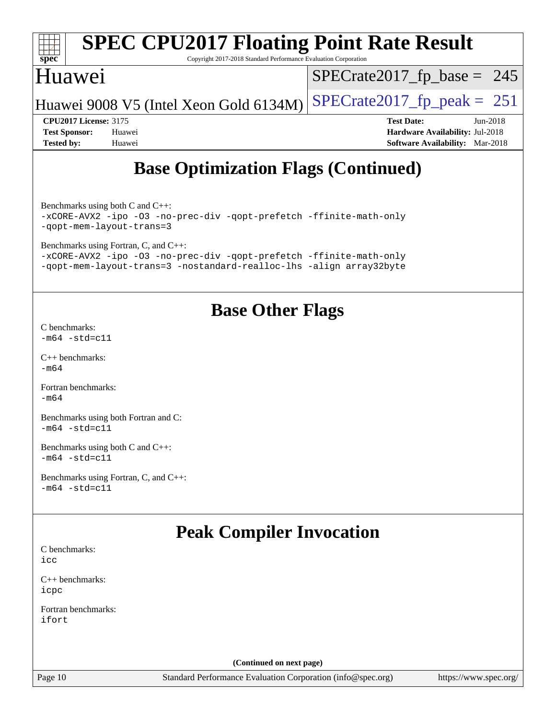| spec                                       |        | Copyright 2017-2018 Standard Performance Evaluation Corporation | <b>SPEC CPU2017 Floating Point Rate Result</b> |  |
|--------------------------------------------|--------|-----------------------------------------------------------------|------------------------------------------------|--|
| Huawei                                     |        |                                                                 | $SPECrate2017_fp\_base = 245$                  |  |
|                                            |        | Huawei 9008 V5 (Intel Xeon Gold 6134M)                          | $SPECrate2017_fp\_peak = 251$                  |  |
| <b>CPU2017 License: 3175</b>               |        |                                                                 | <b>Test Date:</b><br>Jun-2018                  |  |
| <b>Test Sponsor:</b>                       | Huawei |                                                                 | <b>Hardware Availability: Jul-2018</b>         |  |
| <b>Tested by:</b>                          | Huawei |                                                                 | <b>Software Availability:</b> Mar-2018         |  |
| <b>Base Optimization Flags (Continued)</b> |        |                                                                 |                                                |  |

[Benchmarks using both C and C++](http://www.spec.org/auto/cpu2017/Docs/result-fields.html#BenchmarksusingbothCandCXX): [-xCORE-AVX2](http://www.spec.org/cpu2017/results/res2018q4/cpu2017-20181017-09256.flags.html#user_CC_CXXbase_f-xCORE-AVX2) [-ipo](http://www.spec.org/cpu2017/results/res2018q4/cpu2017-20181017-09256.flags.html#user_CC_CXXbase_f-ipo) [-O3](http://www.spec.org/cpu2017/results/res2018q4/cpu2017-20181017-09256.flags.html#user_CC_CXXbase_f-O3) [-no-prec-div](http://www.spec.org/cpu2017/results/res2018q4/cpu2017-20181017-09256.flags.html#user_CC_CXXbase_f-no-prec-div) [-qopt-prefetch](http://www.spec.org/cpu2017/results/res2018q4/cpu2017-20181017-09256.flags.html#user_CC_CXXbase_f-qopt-prefetch) [-ffinite-math-only](http://www.spec.org/cpu2017/results/res2018q4/cpu2017-20181017-09256.flags.html#user_CC_CXXbase_f_finite_math_only_cb91587bd2077682c4b38af759c288ed7c732db004271a9512da14a4f8007909a5f1427ecbf1a0fb78ff2a814402c6114ac565ca162485bbcae155b5e4258871) [-qopt-mem-layout-trans=3](http://www.spec.org/cpu2017/results/res2018q4/cpu2017-20181017-09256.flags.html#user_CC_CXXbase_f-qopt-mem-layout-trans_de80db37974c74b1f0e20d883f0b675c88c3b01e9d123adea9b28688d64333345fb62bc4a798493513fdb68f60282f9a726aa07f478b2f7113531aecce732043)

[Benchmarks using Fortran, C, and C++:](http://www.spec.org/auto/cpu2017/Docs/result-fields.html#BenchmarksusingFortranCandCXX)

[-xCORE-AVX2](http://www.spec.org/cpu2017/results/res2018q4/cpu2017-20181017-09256.flags.html#user_CC_CXX_FCbase_f-xCORE-AVX2) [-ipo](http://www.spec.org/cpu2017/results/res2018q4/cpu2017-20181017-09256.flags.html#user_CC_CXX_FCbase_f-ipo) [-O3](http://www.spec.org/cpu2017/results/res2018q4/cpu2017-20181017-09256.flags.html#user_CC_CXX_FCbase_f-O3) [-no-prec-div](http://www.spec.org/cpu2017/results/res2018q4/cpu2017-20181017-09256.flags.html#user_CC_CXX_FCbase_f-no-prec-div) [-qopt-prefetch](http://www.spec.org/cpu2017/results/res2018q4/cpu2017-20181017-09256.flags.html#user_CC_CXX_FCbase_f-qopt-prefetch) [-ffinite-math-only](http://www.spec.org/cpu2017/results/res2018q4/cpu2017-20181017-09256.flags.html#user_CC_CXX_FCbase_f_finite_math_only_cb91587bd2077682c4b38af759c288ed7c732db004271a9512da14a4f8007909a5f1427ecbf1a0fb78ff2a814402c6114ac565ca162485bbcae155b5e4258871) [-qopt-mem-layout-trans=3](http://www.spec.org/cpu2017/results/res2018q4/cpu2017-20181017-09256.flags.html#user_CC_CXX_FCbase_f-qopt-mem-layout-trans_de80db37974c74b1f0e20d883f0b675c88c3b01e9d123adea9b28688d64333345fb62bc4a798493513fdb68f60282f9a726aa07f478b2f7113531aecce732043) [-nostandard-realloc-lhs](http://www.spec.org/cpu2017/results/res2018q4/cpu2017-20181017-09256.flags.html#user_CC_CXX_FCbase_f_2003_std_realloc_82b4557e90729c0f113870c07e44d33d6f5a304b4f63d4c15d2d0f1fab99f5daaed73bdb9275d9ae411527f28b936061aa8b9c8f2d63842963b95c9dd6426b8a) [-align array32byte](http://www.spec.org/cpu2017/results/res2018q4/cpu2017-20181017-09256.flags.html#user_CC_CXX_FCbase_align_array32byte_b982fe038af199962ba9a80c053b8342c548c85b40b8e86eb3cc33dee0d7986a4af373ac2d51c3f7cf710a18d62fdce2948f201cd044323541f22fc0fffc51b6)

## **[Base Other Flags](http://www.spec.org/auto/cpu2017/Docs/result-fields.html#BaseOtherFlags)**

[C benchmarks](http://www.spec.org/auto/cpu2017/Docs/result-fields.html#Cbenchmarks):  $-m64 - std= c11$  $-m64 - std= c11$ 

[C++ benchmarks:](http://www.spec.org/auto/cpu2017/Docs/result-fields.html#CXXbenchmarks) [-m64](http://www.spec.org/cpu2017/results/res2018q4/cpu2017-20181017-09256.flags.html#user_CXXbase_intel_intel64_18.0_af43caccfc8ded86e7699f2159af6efc7655f51387b94da716254467f3c01020a5059329e2569e4053f409e7c9202a7efc638f7a6d1ffb3f52dea4a3e31d82ab)

[Fortran benchmarks](http://www.spec.org/auto/cpu2017/Docs/result-fields.html#Fortranbenchmarks): [-m64](http://www.spec.org/cpu2017/results/res2018q4/cpu2017-20181017-09256.flags.html#user_FCbase_intel_intel64_18.0_af43caccfc8ded86e7699f2159af6efc7655f51387b94da716254467f3c01020a5059329e2569e4053f409e7c9202a7efc638f7a6d1ffb3f52dea4a3e31d82ab)

[Benchmarks using both Fortran and C](http://www.spec.org/auto/cpu2017/Docs/result-fields.html#BenchmarksusingbothFortranandC): [-m64](http://www.spec.org/cpu2017/results/res2018q4/cpu2017-20181017-09256.flags.html#user_CC_FCbase_intel_intel64_18.0_af43caccfc8ded86e7699f2159af6efc7655f51387b94da716254467f3c01020a5059329e2569e4053f409e7c9202a7efc638f7a6d1ffb3f52dea4a3e31d82ab) [-std=c11](http://www.spec.org/cpu2017/results/res2018q4/cpu2017-20181017-09256.flags.html#user_CC_FCbase_intel_compiler_c11_mode_0e1c27790398a4642dfca32ffe6c27b5796f9c2d2676156f2e42c9c44eaad0c049b1cdb667a270c34d979996257aeb8fc440bfb01818dbc9357bd9d174cb8524)

[Benchmarks using both C and C++](http://www.spec.org/auto/cpu2017/Docs/result-fields.html#BenchmarksusingbothCandCXX):  $-m64 - std = c11$  $-m64 - std = c11$ 

[Benchmarks using Fortran, C, and C++:](http://www.spec.org/auto/cpu2017/Docs/result-fields.html#BenchmarksusingFortranCandCXX)  $-m64 - std= c11$  $-m64 - std= c11$ 

## **[Peak Compiler Invocation](http://www.spec.org/auto/cpu2017/Docs/result-fields.html#PeakCompilerInvocation)**

[C benchmarks](http://www.spec.org/auto/cpu2017/Docs/result-fields.html#Cbenchmarks): [icc](http://www.spec.org/cpu2017/results/res2018q4/cpu2017-20181017-09256.flags.html#user_CCpeak_intel_icc_18.0_66fc1ee009f7361af1fbd72ca7dcefbb700085f36577c54f309893dd4ec40d12360134090235512931783d35fd58c0460139e722d5067c5574d8eaf2b3e37e92)

[C++ benchmarks:](http://www.spec.org/auto/cpu2017/Docs/result-fields.html#CXXbenchmarks) [icpc](http://www.spec.org/cpu2017/results/res2018q4/cpu2017-20181017-09256.flags.html#user_CXXpeak_intel_icpc_18.0_c510b6838c7f56d33e37e94d029a35b4a7bccf4766a728ee175e80a419847e808290a9b78be685c44ab727ea267ec2f070ec5dc83b407c0218cded6866a35d07)

[Fortran benchmarks](http://www.spec.org/auto/cpu2017/Docs/result-fields.html#Fortranbenchmarks): [ifort](http://www.spec.org/cpu2017/results/res2018q4/cpu2017-20181017-09256.flags.html#user_FCpeak_intel_ifort_18.0_8111460550e3ca792625aed983ce982f94888b8b503583aa7ba2b8303487b4d8a21a13e7191a45c5fd58ff318f48f9492884d4413fa793fd88dd292cad7027ca)

**(Continued on next page)**

Page 10 Standard Performance Evaluation Corporation [\(info@spec.org\)](mailto:info@spec.org) <https://www.spec.org/>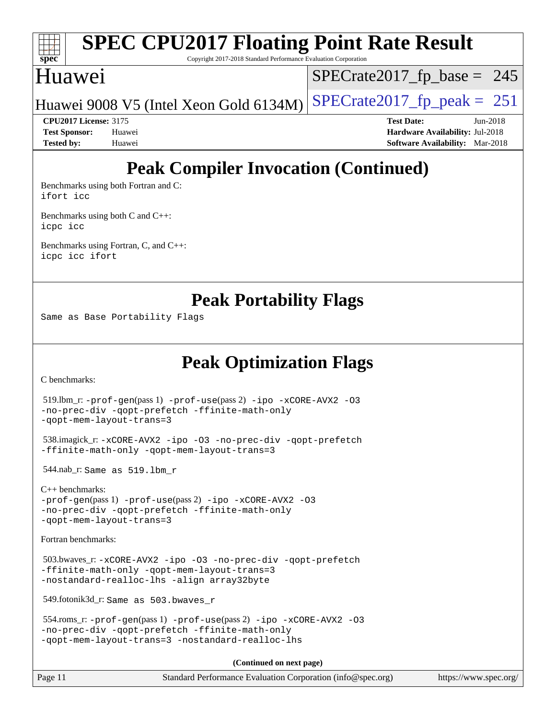

Copyright 2017-2018 Standard Performance Evaluation Corporation

### Huawei

 $SPECTate2017_fp\_base = 245$ 

Huawei 9008 V5 (Intel Xeon Gold 6134M)  $SPECrate2017_f$  peak = 251

**[CPU2017 License:](http://www.spec.org/auto/cpu2017/Docs/result-fields.html#CPU2017License)** 3175 **[Test Date:](http://www.spec.org/auto/cpu2017/Docs/result-fields.html#TestDate)** Jun-2018 **[Test Sponsor:](http://www.spec.org/auto/cpu2017/Docs/result-fields.html#TestSponsor)** Huawei **[Hardware Availability:](http://www.spec.org/auto/cpu2017/Docs/result-fields.html#HardwareAvailability)** Jul-2018 **[Tested by:](http://www.spec.org/auto/cpu2017/Docs/result-fields.html#Testedby)** Huawei **[Software Availability:](http://www.spec.org/auto/cpu2017/Docs/result-fields.html#SoftwareAvailability)** Mar-2018

## **[Peak Compiler Invocation \(Continued\)](http://www.spec.org/auto/cpu2017/Docs/result-fields.html#PeakCompilerInvocation)**

[Benchmarks using both Fortran and C](http://www.spec.org/auto/cpu2017/Docs/result-fields.html#BenchmarksusingbothFortranandC): [ifort](http://www.spec.org/cpu2017/results/res2018q4/cpu2017-20181017-09256.flags.html#user_CC_FCpeak_intel_ifort_18.0_8111460550e3ca792625aed983ce982f94888b8b503583aa7ba2b8303487b4d8a21a13e7191a45c5fd58ff318f48f9492884d4413fa793fd88dd292cad7027ca) [icc](http://www.spec.org/cpu2017/results/res2018q4/cpu2017-20181017-09256.flags.html#user_CC_FCpeak_intel_icc_18.0_66fc1ee009f7361af1fbd72ca7dcefbb700085f36577c54f309893dd4ec40d12360134090235512931783d35fd58c0460139e722d5067c5574d8eaf2b3e37e92)

[Benchmarks using both C and C++](http://www.spec.org/auto/cpu2017/Docs/result-fields.html#BenchmarksusingbothCandCXX): [icpc](http://www.spec.org/cpu2017/results/res2018q4/cpu2017-20181017-09256.flags.html#user_CC_CXXpeak_intel_icpc_18.0_c510b6838c7f56d33e37e94d029a35b4a7bccf4766a728ee175e80a419847e808290a9b78be685c44ab727ea267ec2f070ec5dc83b407c0218cded6866a35d07) [icc](http://www.spec.org/cpu2017/results/res2018q4/cpu2017-20181017-09256.flags.html#user_CC_CXXpeak_intel_icc_18.0_66fc1ee009f7361af1fbd72ca7dcefbb700085f36577c54f309893dd4ec40d12360134090235512931783d35fd58c0460139e722d5067c5574d8eaf2b3e37e92)

[Benchmarks using Fortran, C, and C++:](http://www.spec.org/auto/cpu2017/Docs/result-fields.html#BenchmarksusingFortranCandCXX) [icpc](http://www.spec.org/cpu2017/results/res2018q4/cpu2017-20181017-09256.flags.html#user_CC_CXX_FCpeak_intel_icpc_18.0_c510b6838c7f56d33e37e94d029a35b4a7bccf4766a728ee175e80a419847e808290a9b78be685c44ab727ea267ec2f070ec5dc83b407c0218cded6866a35d07) [icc](http://www.spec.org/cpu2017/results/res2018q4/cpu2017-20181017-09256.flags.html#user_CC_CXX_FCpeak_intel_icc_18.0_66fc1ee009f7361af1fbd72ca7dcefbb700085f36577c54f309893dd4ec40d12360134090235512931783d35fd58c0460139e722d5067c5574d8eaf2b3e37e92) [ifort](http://www.spec.org/cpu2017/results/res2018q4/cpu2017-20181017-09256.flags.html#user_CC_CXX_FCpeak_intel_ifort_18.0_8111460550e3ca792625aed983ce982f94888b8b503583aa7ba2b8303487b4d8a21a13e7191a45c5fd58ff318f48f9492884d4413fa793fd88dd292cad7027ca)

**[Peak Portability Flags](http://www.spec.org/auto/cpu2017/Docs/result-fields.html#PeakPortabilityFlags)**

Same as Base Portability Flags

**[Peak Optimization Flags](http://www.spec.org/auto/cpu2017/Docs/result-fields.html#PeakOptimizationFlags)**

[C benchmarks](http://www.spec.org/auto/cpu2017/Docs/result-fields.html#Cbenchmarks):

```
 519.lbm_r: -prof-gen(pass 1) -prof-use(pass 2) -ipo -xCORE-AVX2 -O3
-no-prec-div -qopt-prefetch -ffinite-math-only
-qopt-mem-layout-trans=3
 538.imagick_r: -xCORE-AVX2 -ipo -O3 -no-prec-div -qopt-prefetch
-ffinite-math-only -qopt-mem-layout-trans=3
 544.nab_r: Same as 519.lbm_r
C++ benchmarks: 
-prof-gen(pass 1) -prof-use(pass 2) -ipo -xCORE-AVX2 -O3
-no-prec-div -qopt-prefetch -ffinite-math-only
-qopt-mem-layout-trans=3
Fortran benchmarks: 
 503.bwaves_r: -xCORE-AVX2 -ipo -O3 -no-prec-div -qopt-prefetch
-ffinite-math-only -qopt-mem-layout-trans=3
-nostandard-realloc-lhs -align array32byte
 549.fotonik3d_r: Same as 503.bwaves_r
 554.roms_r: -prof-gen(pass 1) -prof-use(pass 2) -ipo -xCORE-AVX2 -O3
-no-prec-div -qopt-prefetch -ffinite-math-only
-qopt-mem-layout-trans=3 -nostandard-realloc-lhs
                                      (Continued on next page)
```
Page 11 Standard Performance Evaluation Corporation [\(info@spec.org\)](mailto:info@spec.org) <https://www.spec.org/>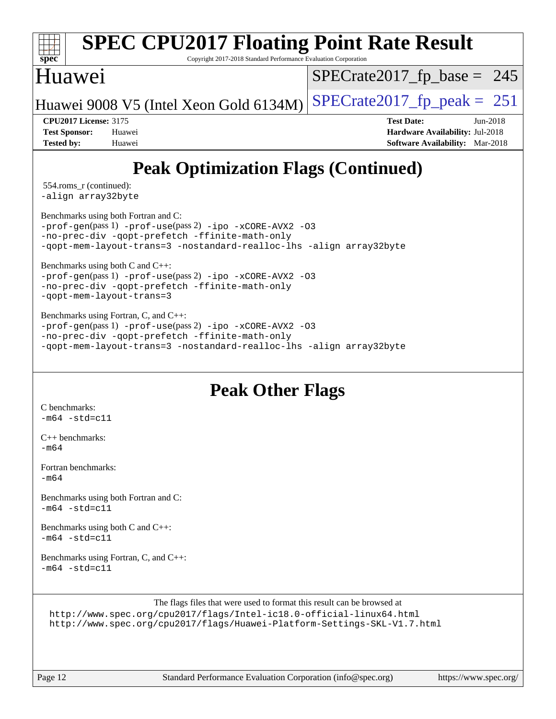

Copyright 2017-2018 Standard Performance Evaluation Corporation

### Huawei

 $SPECTate2017_fp\_base = 245$ 

Huawei 9008 V5 (Intel Xeon Gold 6134M)  $SPECrate2017_f$  peak = 251

**[CPU2017 License:](http://www.spec.org/auto/cpu2017/Docs/result-fields.html#CPU2017License)** 3175 **[Test Date:](http://www.spec.org/auto/cpu2017/Docs/result-fields.html#TestDate)** Jun-2018 **[Test Sponsor:](http://www.spec.org/auto/cpu2017/Docs/result-fields.html#TestSponsor)** Huawei **[Hardware Availability:](http://www.spec.org/auto/cpu2017/Docs/result-fields.html#HardwareAvailability)** Jul-2018 **[Tested by:](http://www.spec.org/auto/cpu2017/Docs/result-fields.html#Testedby)** Huawei **[Software Availability:](http://www.spec.org/auto/cpu2017/Docs/result-fields.html#SoftwareAvailability)** Mar-2018

## **[Peak Optimization Flags \(Continued\)](http://www.spec.org/auto/cpu2017/Docs/result-fields.html#PeakOptimizationFlags)**

 554.roms\_r (continued): [-align array32byte](http://www.spec.org/cpu2017/results/res2018q4/cpu2017-20181017-09256.flags.html#user_peakEXTRA_FOPTIMIZE554_roms_r_align_array32byte_b982fe038af199962ba9a80c053b8342c548c85b40b8e86eb3cc33dee0d7986a4af373ac2d51c3f7cf710a18d62fdce2948f201cd044323541f22fc0fffc51b6)

[Benchmarks using both Fortran and C](http://www.spec.org/auto/cpu2017/Docs/result-fields.html#BenchmarksusingbothFortranandC):

[-prof-gen](http://www.spec.org/cpu2017/results/res2018q4/cpu2017-20181017-09256.flags.html#user_CC_FCpeak_prof_gen_5aa4926d6013ddb2a31985c654b3eb18169fc0c6952a63635c234f711e6e63dd76e94ad52365559451ec499a2cdb89e4dc58ba4c67ef54ca681ffbe1461d6b36)(pass 1) [-prof-use](http://www.spec.org/cpu2017/results/res2018q4/cpu2017-20181017-09256.flags.html#user_CC_FCpeak_prof_use_1a21ceae95f36a2b53c25747139a6c16ca95bd9def2a207b4f0849963b97e94f5260e30a0c64f4bb623698870e679ca08317ef8150905d41bd88c6f78df73f19)(pass 2) [-ipo](http://www.spec.org/cpu2017/results/res2018q4/cpu2017-20181017-09256.flags.html#user_CC_FCpeak_f-ipo) [-xCORE-AVX2](http://www.spec.org/cpu2017/results/res2018q4/cpu2017-20181017-09256.flags.html#user_CC_FCpeak_f-xCORE-AVX2) [-O3](http://www.spec.org/cpu2017/results/res2018q4/cpu2017-20181017-09256.flags.html#user_CC_FCpeak_f-O3) [-no-prec-div](http://www.spec.org/cpu2017/results/res2018q4/cpu2017-20181017-09256.flags.html#user_CC_FCpeak_f-no-prec-div) [-qopt-prefetch](http://www.spec.org/cpu2017/results/res2018q4/cpu2017-20181017-09256.flags.html#user_CC_FCpeak_f-qopt-prefetch) [-ffinite-math-only](http://www.spec.org/cpu2017/results/res2018q4/cpu2017-20181017-09256.flags.html#user_CC_FCpeak_f_finite_math_only_cb91587bd2077682c4b38af759c288ed7c732db004271a9512da14a4f8007909a5f1427ecbf1a0fb78ff2a814402c6114ac565ca162485bbcae155b5e4258871) [-qopt-mem-layout-trans=3](http://www.spec.org/cpu2017/results/res2018q4/cpu2017-20181017-09256.flags.html#user_CC_FCpeak_f-qopt-mem-layout-trans_de80db37974c74b1f0e20d883f0b675c88c3b01e9d123adea9b28688d64333345fb62bc4a798493513fdb68f60282f9a726aa07f478b2f7113531aecce732043) [-nostandard-realloc-lhs](http://www.spec.org/cpu2017/results/res2018q4/cpu2017-20181017-09256.flags.html#user_CC_FCpeak_f_2003_std_realloc_82b4557e90729c0f113870c07e44d33d6f5a304b4f63d4c15d2d0f1fab99f5daaed73bdb9275d9ae411527f28b936061aa8b9c8f2d63842963b95c9dd6426b8a) [-align array32byte](http://www.spec.org/cpu2017/results/res2018q4/cpu2017-20181017-09256.flags.html#user_CC_FCpeak_align_array32byte_b982fe038af199962ba9a80c053b8342c548c85b40b8e86eb3cc33dee0d7986a4af373ac2d51c3f7cf710a18d62fdce2948f201cd044323541f22fc0fffc51b6)

[Benchmarks using both C and C++](http://www.spec.org/auto/cpu2017/Docs/result-fields.html#BenchmarksusingbothCandCXX):

[-prof-gen](http://www.spec.org/cpu2017/results/res2018q4/cpu2017-20181017-09256.flags.html#user_CC_CXXpeak_prof_gen_5aa4926d6013ddb2a31985c654b3eb18169fc0c6952a63635c234f711e6e63dd76e94ad52365559451ec499a2cdb89e4dc58ba4c67ef54ca681ffbe1461d6b36)(pass 1) [-prof-use](http://www.spec.org/cpu2017/results/res2018q4/cpu2017-20181017-09256.flags.html#user_CC_CXXpeak_prof_use_1a21ceae95f36a2b53c25747139a6c16ca95bd9def2a207b4f0849963b97e94f5260e30a0c64f4bb623698870e679ca08317ef8150905d41bd88c6f78df73f19)(pass 2) [-ipo](http://www.spec.org/cpu2017/results/res2018q4/cpu2017-20181017-09256.flags.html#user_CC_CXXpeak_f-ipo) [-xCORE-AVX2](http://www.spec.org/cpu2017/results/res2018q4/cpu2017-20181017-09256.flags.html#user_CC_CXXpeak_f-xCORE-AVX2) [-O3](http://www.spec.org/cpu2017/results/res2018q4/cpu2017-20181017-09256.flags.html#user_CC_CXXpeak_f-O3) [-no-prec-div](http://www.spec.org/cpu2017/results/res2018q4/cpu2017-20181017-09256.flags.html#user_CC_CXXpeak_f-no-prec-div) [-qopt-prefetch](http://www.spec.org/cpu2017/results/res2018q4/cpu2017-20181017-09256.flags.html#user_CC_CXXpeak_f-qopt-prefetch) [-ffinite-math-only](http://www.spec.org/cpu2017/results/res2018q4/cpu2017-20181017-09256.flags.html#user_CC_CXXpeak_f_finite_math_only_cb91587bd2077682c4b38af759c288ed7c732db004271a9512da14a4f8007909a5f1427ecbf1a0fb78ff2a814402c6114ac565ca162485bbcae155b5e4258871) [-qopt-mem-layout-trans=3](http://www.spec.org/cpu2017/results/res2018q4/cpu2017-20181017-09256.flags.html#user_CC_CXXpeak_f-qopt-mem-layout-trans_de80db37974c74b1f0e20d883f0b675c88c3b01e9d123adea9b28688d64333345fb62bc4a798493513fdb68f60282f9a726aa07f478b2f7113531aecce732043)

[Benchmarks using Fortran, C, and C++:](http://www.spec.org/auto/cpu2017/Docs/result-fields.html#BenchmarksusingFortranCandCXX) [-prof-gen](http://www.spec.org/cpu2017/results/res2018q4/cpu2017-20181017-09256.flags.html#user_CC_CXX_FCpeak_prof_gen_5aa4926d6013ddb2a31985c654b3eb18169fc0c6952a63635c234f711e6e63dd76e94ad52365559451ec499a2cdb89e4dc58ba4c67ef54ca681ffbe1461d6b36)(pass 1) [-prof-use](http://www.spec.org/cpu2017/results/res2018q4/cpu2017-20181017-09256.flags.html#user_CC_CXX_FCpeak_prof_use_1a21ceae95f36a2b53c25747139a6c16ca95bd9def2a207b4f0849963b97e94f5260e30a0c64f4bb623698870e679ca08317ef8150905d41bd88c6f78df73f19)(pass 2) [-ipo](http://www.spec.org/cpu2017/results/res2018q4/cpu2017-20181017-09256.flags.html#user_CC_CXX_FCpeak_f-ipo) [-xCORE-AVX2](http://www.spec.org/cpu2017/results/res2018q4/cpu2017-20181017-09256.flags.html#user_CC_CXX_FCpeak_f-xCORE-AVX2) [-O3](http://www.spec.org/cpu2017/results/res2018q4/cpu2017-20181017-09256.flags.html#user_CC_CXX_FCpeak_f-O3) [-no-prec-div](http://www.spec.org/cpu2017/results/res2018q4/cpu2017-20181017-09256.flags.html#user_CC_CXX_FCpeak_f-no-prec-div) [-qopt-prefetch](http://www.spec.org/cpu2017/results/res2018q4/cpu2017-20181017-09256.flags.html#user_CC_CXX_FCpeak_f-qopt-prefetch) [-ffinite-math-only](http://www.spec.org/cpu2017/results/res2018q4/cpu2017-20181017-09256.flags.html#user_CC_CXX_FCpeak_f_finite_math_only_cb91587bd2077682c4b38af759c288ed7c732db004271a9512da14a4f8007909a5f1427ecbf1a0fb78ff2a814402c6114ac565ca162485bbcae155b5e4258871) [-qopt-mem-layout-trans=3](http://www.spec.org/cpu2017/results/res2018q4/cpu2017-20181017-09256.flags.html#user_CC_CXX_FCpeak_f-qopt-mem-layout-trans_de80db37974c74b1f0e20d883f0b675c88c3b01e9d123adea9b28688d64333345fb62bc4a798493513fdb68f60282f9a726aa07f478b2f7113531aecce732043) [-nostandard-realloc-lhs](http://www.spec.org/cpu2017/results/res2018q4/cpu2017-20181017-09256.flags.html#user_CC_CXX_FCpeak_f_2003_std_realloc_82b4557e90729c0f113870c07e44d33d6f5a304b4f63d4c15d2d0f1fab99f5daaed73bdb9275d9ae411527f28b936061aa8b9c8f2d63842963b95c9dd6426b8a) [-align array32byte](http://www.spec.org/cpu2017/results/res2018q4/cpu2017-20181017-09256.flags.html#user_CC_CXX_FCpeak_align_array32byte_b982fe038af199962ba9a80c053b8342c548c85b40b8e86eb3cc33dee0d7986a4af373ac2d51c3f7cf710a18d62fdce2948f201cd044323541f22fc0fffc51b6)

## **[Peak Other Flags](http://www.spec.org/auto/cpu2017/Docs/result-fields.html#PeakOtherFlags)**

[C benchmarks](http://www.spec.org/auto/cpu2017/Docs/result-fields.html#Cbenchmarks):  $-m64 - std = c11$  $-m64 - std = c11$ 

[C++ benchmarks:](http://www.spec.org/auto/cpu2017/Docs/result-fields.html#CXXbenchmarks) [-m64](http://www.spec.org/cpu2017/results/res2018q4/cpu2017-20181017-09256.flags.html#user_CXXpeak_intel_intel64_18.0_af43caccfc8ded86e7699f2159af6efc7655f51387b94da716254467f3c01020a5059329e2569e4053f409e7c9202a7efc638f7a6d1ffb3f52dea4a3e31d82ab)

[Fortran benchmarks](http://www.spec.org/auto/cpu2017/Docs/result-fields.html#Fortranbenchmarks):  $-m64$ 

[Benchmarks using both Fortran and C](http://www.spec.org/auto/cpu2017/Docs/result-fields.html#BenchmarksusingbothFortranandC):  $-m64 - std = c11$  $-m64 - std = c11$ 

[Benchmarks using both C and C++](http://www.spec.org/auto/cpu2017/Docs/result-fields.html#BenchmarksusingbothCandCXX):  $-m64$   $-std=cl1$ 

[Benchmarks using Fortran, C, and C++:](http://www.spec.org/auto/cpu2017/Docs/result-fields.html#BenchmarksusingFortranCandCXX)  $-m64$   $-std=cl1$ 

The flags files that were used to format this result can be browsed at <http://www.spec.org/cpu2017/flags/Intel-ic18.0-official-linux64.html>

<http://www.spec.org/cpu2017/flags/Huawei-Platform-Settings-SKL-V1.7.html>